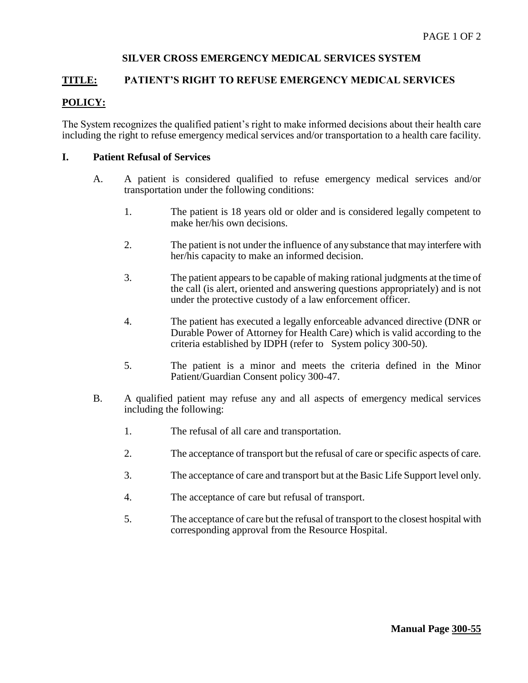## **SILVER CROSS EMERGENCY MEDICAL SERVICES SYSTEM**

### **TITLE: PATIENT'S RIGHT TO REFUSE EMERGENCY MEDICAL SERVICES**

## **POLICY:**

The System recognizes the qualified patient's right to make informed decisions about their health care including the right to refuse emergency medical services and/or transportation to a health care facility.

#### **I. Patient Refusal of Services**

- A. A patient is considered qualified to refuse emergency medical services and/or transportation under the following conditions:
	- 1. The patient is 18 years old or older and is considered legally competent to make her/his own decisions.
	- 2. The patient is not under the influence of any substance that may interfere with her/his capacity to make an informed decision.
	- 3. The patient appears to be capable of making rational judgments at the time of the call (is alert, oriented and answering questions appropriately) and is not under the protective custody of a law enforcement officer.
	- 4. The patient has executed a legally enforceable advanced directive (DNR or Durable Power of Attorney for Health Care) which is valid according to the criteria established by IDPH (refer to System policy 300-50).
	- 5. The patient is a minor and meets the criteria defined in the Minor Patient/Guardian Consent policy 300-47.
- B. A qualified patient may refuse any and all aspects of emergency medical services including the following:
	- 1. The refusal of all care and transportation.
	- 2. The acceptance of transport but the refusal of care or specific aspects of care.
	- 3. The acceptance of care and transport but at the Basic Life Support level only.
	- 4. The acceptance of care but refusal of transport.
	- 5. The acceptance of care but the refusal of transport to the closest hospital with corresponding approval from the Resource Hospital.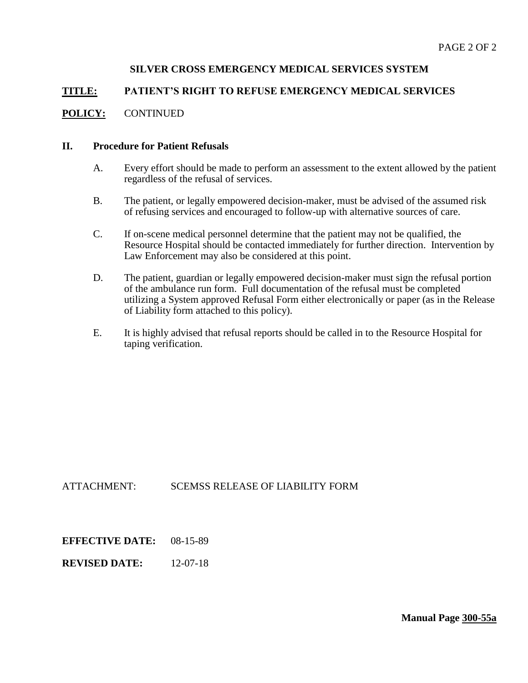## **SILVER CROSS EMERGENCY MEDICAL SERVICES SYSTEM**

### **TITLE: PATIENT'S RIGHT TO REFUSE EMERGENCY MEDICAL SERVICES**

#### **POLICY:** CONTINUED

#### **II. Procedure for Patient Refusals**

- A. Every effort should be made to perform an assessment to the extent allowed by the patient regardless of the refusal of services.
- B. The patient, or legally empowered decision-maker, must be advised of the assumed risk of refusing services and encouraged to follow-up with alternative sources of care.
- C. If on-scene medical personnel determine that the patient may not be qualified, the Resource Hospital should be contacted immediately for further direction. Intervention by Law Enforcement may also be considered at this point.
- D. The patient, guardian or legally empowered decision-maker must sign the refusal portion of the ambulance run form. Full documentation of the refusal must be completed utilizing a System approved Refusal Form either electronically or paper (as in the Release of Liability form attached to this policy).
- E. It is highly advised that refusal reports should be called in to the Resource Hospital for taping verification.

### ATTACHMENT: SCEMSS RELEASE OF LIABILITY FORM

**EFFECTIVE DATE:** 08-15-89

**REVISED DATE:** 12-07-18